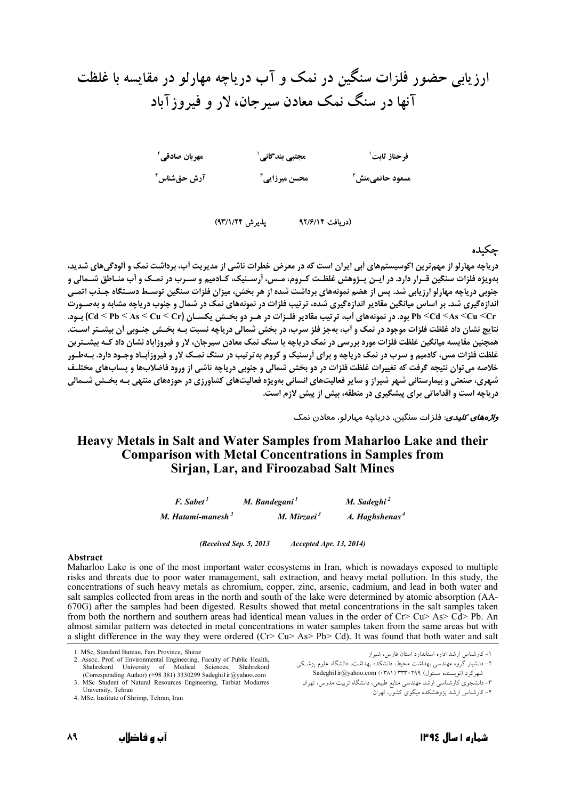ارزیابی حضور فلزات سنگین در نمک و آب دریاچه مهارلو در مقایسه با غلظت آنها در سنگ نمک معادن سیرجان، لار و فیروزآباد



يذيرش ٩٣/١/٢٣) (دريافت ۹۲/۶/۱۴

#### جكىدە

د. باچه مهارلو از مهم ترین اکوسیستمهای آیی ایران است که در معرض خطرات ناشی از مدیریت آب، برداشت نمک و آلودگیهای شدید، بهویژه فلزات سنگین قـرار دارد. در ایـن پـژوهش غلظـت کـروم، مـس، آرسـنیک، کـادمیم و سـرب در نمـک و آب منـاطق شـمالی و جنوبی دریاچه مهارلو ارزیابی شد. پس از هضم نمونههای برداشت شده از هر بخش، میزان فلزات سنگین توســط دســتگاه جــذب اتمــی اندازهگیری شد. بر اساس میانگین مقادیر اندازهگیری شده، ترتیب فلزات در نمونههای نمک در شمال و جنوب دریاچه مشابه و بهصـورت Pb <Cd <As <Cu <Cr بود. در نمونههای آب، ترتیب مقادیر فلـزات در هـر دو بخـش یکسـان (Cd < Pb < As < Cu <Cr بود. در نمونههای آب، ترتیب مقادیر فلـزات در هـر دو بخـش یکسـان (Cd < Pb < As <Cu <Cr .<br>نتایج نشان داد غلظت فلزات موجود در نمک و اَب، بهجز فلز سرب، در بخش شمالی دریاچه نسبت بـه بخـش جنـوبی اَن بیشـتر اسـت. همچنین مقایسه میانگین غلظت فلزات مورد بررسی در نمک دریاچه با سنگ نمک معادن سیرجان، لار و فیروزآباد نشان داد کـه بیشـترین غلظت فلزات مس، کادمیم و سرب در نمک دریاچه و برای آرسنیک و کروم به ترتیب در سنگ نمـک لار و فیروزآبـاد وجـود دارد. بـهطـور خلاصه می توان نتیجه گرفت که تغییرات غلظت فلزات در دو بخش شمالی و جنوبی دریاچه ناشی از ورود فاضلابها و پسابهای مختلـف شهری، صنعتی و بیمارستانی شهر شیراز و سایر فعالیتهای انسانی بهویژه فعالیتهای کشاورزی در حوزههای منتهی بـه بخـش شــمالی دریاچه است و اقداماتی برای پیشگیری در منطقه، بیش از پیش لازم است.

*واڑەھای کلیدی*: فلز ات سنگین، دریاچه مہارلو، معادن نمک

### Heavy Metals in Salt and Water Samples from Maharloo Lake and their **Comparison with Metal Concentrations in Samples from Sirian, Lar, and Firoozabad Salt Mines**

| $F.$ Sabet <sup>1</sup> | M. Bandegani <sup>1</sup> | M. Sadeghi $^2$            |
|-------------------------|---------------------------|----------------------------|
| M. Hatami-manesh $3$    | M. Mirzaei $3$            | A. Haghshenas <sup>4</sup> |

(Received Sep. 5, 2013) Accepted Apr. 13, 2014)

#### Ahstract

Maharloo Lake is one of the most important water ecosystems in Iran, which is nowadays exposed to multiple risks and threats due to poor water management, salt extraction, and heavy metal pollution. In this study, the concentrations of such heavy metals as chromium, copper, zinc, arsenic, cadmium, and lead in both water and salt samples collected from areas in the north and south of the lake were determined by atomic absorption (AA-670G) after the samples had been digested. Results showed that metal concentrations in the salt samples taken from both the northern and southern areas had identical mean values in the order of  $Cr > Cu > As > Cd > Pb$ . An almost similar pattern was detected in metal concentrations in water samples taken from the same areas but with a slight difference in the way they were ordered (Cr> Cu> As> Pb> Cd). It was found that both water and salt

<sup>1</sup> MSc Standard Bureau Fars Province Shiraz

<sup>2.</sup> Assoc. Prof. of Environmental Engineering, Faculty of Public Health, Shahrekord University of Medical Sciences, Shahrekord (Corresponding Author) (+98 381) 3330299 Sadeghi1ir@yahoo.com

<sup>3.</sup> MSc Student of Natural Resources Engineering, Tarbiat Modarres University, Tehran

<sup>4.</sup> MSc, Institute of Shrimp, Tehran, Iran

۱- کارشناس ارشد اداره استاندارد استان فارس، شیراز

۲– دانشیار گروه مهندسی بهداشت محیط، دانشکده بهداشت، دانشگاه علوم پزشکی شهرکرد (نویسنده مسئول) ۱۳۳۴۰۲۹۹ (Sadeghilir@yahoo.com (۱۳۸۱)

۳– دانشجوی کارشناسی ارشد مهندسی منابع طبیعی، دانشگاه تربیت مدرس، تهران

<sup>-&</sup>lt;br>۴– کارشناس ارشد بیژوهشکده میگوی کشور، تهران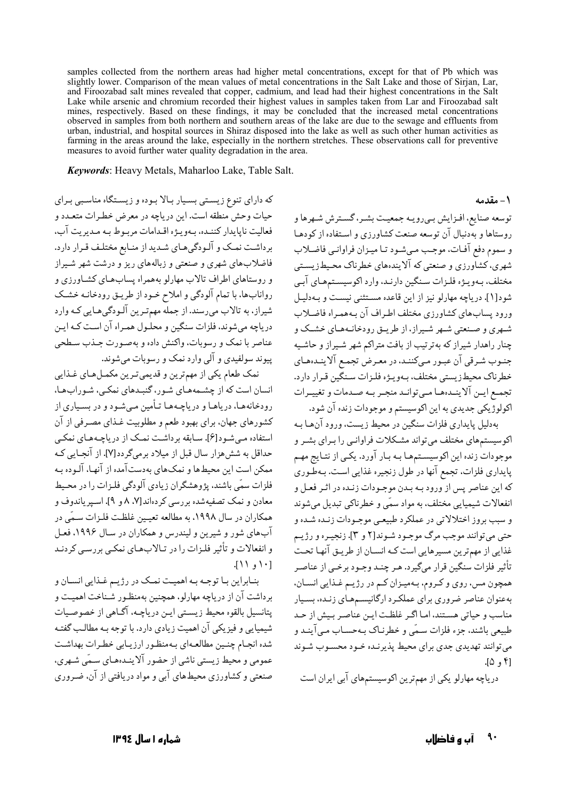samples collected from the northern areas had higher metal concentrations, except for that of Pb which was slightly lower. Comparison of the mean values of metal concentrations in the Salt Lake and those of Sirjan, Lar, and Firoozabad salt mines revealed that copper, cadmium, and lead had their highest concentrations in the Salt Lake while arsenic and chromium recorded their highest values in samples taken from Lar and Firoozabad salt mines, respectively. Based on these findings, it may be concluded that the increased metal concentrations observed in samples from both northern and southern areas of the lake are due to the sewage and effluents from urban, industrial, and hospital sources in Shiraz disposed into the lake as well as such other human activities as farming in the areas around the lake, especially in the northern stretches. These observations call for preventive measures to avoid further water quality degradation in the area.

Keywords: Heavy Metals, Maharloo Lake, Table Salt.

که دارای تنوع زیستی بسیار بالا بوده و زیستگاه مناسبی برای حيات وحش منطقه است. اين درياچه در معرض خطـرات متعـدد و فعالیت ناپایدار کننـده، بـهویـژه اقـدامات مربـوط بـه مـدیریت آب، برداشت نمک و آلـودگی هـای شـدید از منـابع مختلـف قـرار دارد. فاضلابهای شهری و صنعتی و زبالههای ریز و درشت شهر شیراز و روستاهای اطراف تالاب مهارلو بههمراه پساب هـای کشـاورزی و روانابها، با تمام آلودگی و املاح خـود از طریـق رودخانـه خشـک شیراز، به تالاب می رسند. از جمله مهم تـرین آلـودگی هـایی کـه وارد دریاچه می شوند، فلزات سنگین و محلـول همـراه آن اسـت کـه ایـن عناصر با نمک و رسوبات، واکنش داده و بهصورت جـذب سـطحی يېوند سولفېدي و آلې وارد نمک و رسوپات مې شوند.

نمک طعام یکی از مهمترین و قدیمیترین مکمـلهـای غـذایی انسان است که از چشـمههـای شـور، گنبـدهای نمکـی، شـورابهـا، رودخانههـا، دریاهـا و دریاچـههـا تـأمین مـیشـود و در بسـیاری از کشورهای جهان، برای بهبود طعم و مطلوبیت غـذای مصـرفی از آن استفاده مبي شـود[۶]. سـابقه برداشـت نمـک از درياچـههـاي نمکـي حداقل به شش هزار سال قبل از میلاد برمی گردد[۷]. از آنجـایی کـه ممکن است این محیطها و نمکهای بهدستآمده از آنها، آلـوده بـه فلزات سمّى باشند، پژوهشگران زيادي آلودگي فلـزات را در محـيط معادن و نمک تصفیهشده بررسی کردهاند[۷. ۸ و ۹]. اسـیر یاندوف و همکاران در سال ۱۹۹۸، به مطالعه تعیین غلظت فلـزات سـمّی در آب های شور و شیرین و لیندرس و همکاران در سـال ۱۹۹۶، فعـل و انفعالات و تأثیر فلیزات را در تبالابههای نمکبی بررسبی کردنید  $\lceil \cdot \rceil$  ,  $\lceil \cdot \rceil$ 

بنـابراين بـا توجـه بـه اهميـت نمـك در رژيـم غـذايي انسـان و بر داشت آن از در پاچه مهارلو، همچنین بهمنظـور شـناخت اهمیـت و يتانسيل بالقوه محيط زيستي ايـن درياچـه، آگـاهي از خصوصـيات شیمیایی و فیزیکی آن اهمیت زیادی دارد. با توجه بـه مطالـب گفتـه شده انجـام چنـین مطالعـهای بـهمنظـور ارزیـابی خطـرات بهداشـت عمومی و محیط زیستی ناشی از حضور آلاینیدههای سبقی شبهری، صنعتی و کشاورزی محیطهای آبی و مواد در بافتی از آن، ضیروری توسعه صنايع، افـزايش بـي رويـه جمعيـت بشـر، گسـترش شـهرها و روستاها و بهدنبال آن توسعه صنعت كشاورزي و استفاده از كودهـا و سعوم دفع آفيات، موجب مبي شيود تبا مييزان فراوانبي فاضلاب شهري، کشاورزي و صنعتي که آلايندههاي خطرناک محيطزيستي مختلف، بـهويـژه فلـزات سـنگين دارنـد، وارد اكوسيسـتمهـاي آبـي شود[۱]. دریاچه مهارلو نیز از این قاعده مستثنی نیست و بهدلیل ورود يساب هاي كشاورزي مختلف اطراف آن بـههمـراه فاضـلاب شهری و صنعتی شبهر شیراز، از طریبق رودخانیههای خشبک و چنار راهدار شیراز که بهترتیب از بافت متراکم شهر شـیراز و حاشـیه جنـوب شـرقي آن عبـور مـىكننـد، در معـرض تجمـع آلاينـدهمـاي خطرناک محیطزیستی مختلف، بـهویـژه فلـزات سـنگین قـرار دارد. تجمع ايـن آلاينـدهما مـىتوانـد منجـر بـه صـدمات و تغييـرات اکولوژیکی جدیدی به این اکوسیستم و موجودات زنده آن شود.

بهدليل پايداري فلزات سنگين در محيط زيست، ورود آنهـا بـه اکو سیستمهای مختلف می تواند مشکلات فراوانبی را بیرای بشیر و موجودات زنده این اکوسیسـتمهـا بـه بـار آورد. یکـی از نتـایج مهـم پایداری فلزات، تجمع آنها در طول زنجیره غذایی است. بـهطـّوری كه اين عناصر پس از ورود بـه بـدن موجـودات زنـده در اثـر فعـل و انفعالات شیمیایی مختلف، به مواد سمّی و خطرناکی تبدیل میشوند و سبب بروز اختلالاتی در عملکرد طبیعی موجـودات زنـده شـده و حتي مي توانند موجب مرگ موجـود شـوند[٢ و ٣]. زنجيـره و رژيـم غذایی از مهمترین مسیرهایی است کـه انسـان از طریـق آنهـا تحـت تأثير فلزات سنگين قرار ميگيرد. هـر چنـد وجـود برخـي از عناصـر همچون مس، روی و کروم، بـهمیـزان کـم در رژیـم غـذایی انسـان، بهعنوان عناصر ضروري براي عملكرد ارگانيسمهاي زنـده، بسـيار مناسب و حیاتی هستند، امـا اگـر غلظـت ایـن عناصـر بـیش از حـد طبیعی باشند، جزء فلزات سبمّی و خطرنیاک پیوسیاب میںآبنید و مي توانند تهديدي جدي براي محيط پذيرنىدە خىود محسىوب شىوند  $[0, 0]$ 

دریاچه مهارلو یکی از مهمترین اکوسیستمهای آبی ایران است

٩. آں و فاضلاں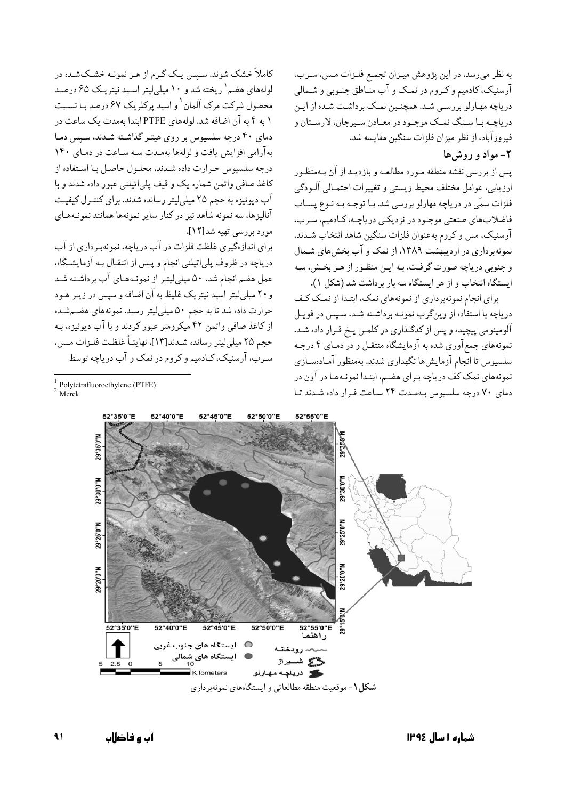به نظر میرسد. در این پژوهش میـزان تجمـع فلـزات مـس، سـرب، آرسنیک، کادمیم و کـروم در نمـک و آب منـاطق جنـوبی و شـمالی دریاچه مهـارلو بررسـی شـد. همچنـین نمـک برداشـت شـده از ایـن دریاچـه بـا سـنگ نمـک موجـود در معـادن سـیرجان، لارسـتان و فيروز آباد، از نظر ميزان فلزات سنگين مقايسه شد.

## ۲- مواد و روش ها

یس از بررسی نقشه منطقه مـورد مطالعـه و بازدیـد از آن بـهمنظـور ارزيابي، عوامل مختلف محيط زيستي و تغييرات احتمـالي آلـودگي فلزات سمّی در دریاچه مهارلو بررسی شد. بـا توجـه بـه نـوع پســاب فاضلابهای صنعتی موجـود در نزدیکـی دریاچـه، کـادمیمّ، سـرب، آرسنیک، مس و کروم بهعنوان فلزات سنگین شاهد انتخاب شـدند. نمونهبرداری در اردیبهشت ۱۳۸۹، از نمک و آب بخش های شـمال و جنوبی دریاچه صورت گرفت. بـه ایـن منظـور از هـر بخـش، سـه ایستگاه انتخاب و از هر ایستگاه سه بار برداشت شد (شکل ۱).

برای انجام نمونهبر داری از نمونههای نمک، ابتـدا از نمـک کـف دریاچه با استفاده از وینگرب نمونـه برداشـته شـد. سـیس در فویـل آلومینومی پیچیده و پس از کدگـذاری در کلمـن پـخ قـرار داده شـد. نمونههای جمع آوری شده به آزمایشگاه منتقـل و در دمـای ۴ درجـه سلسيوس تا انجام آزمايش،ا نگهداري شدند. بهمنظور آمـادهسـازي نمونههای نمک کف دریاچه بـرای هضـم، ابتـدا نمونـههـا در آون در دمای ۷۰ درجه سلسیوس بهمدت ۲۴ ساعت قرار داده شدند تا

کاملاً خشک شوند. سپس یک گـرم از هـر نمونـه خشـکشـده در لولههای هضم`ریخته شد و ۱۰ میلی لیتر اسـید نیتریـک ۶۵ درصـد محصول شرکت مرک آلمان <sup>۲</sup> و اسید پرکلریک ۶۷ درصد بـا نسـبت ۱ به ۴ به آن اضافه شد. لولههای PTFE ابتدا بهمدت یک ساعت در دمای ۴۰ درجه سلسیوس بر روی هیتـر گذاشـته شـدند، سـیس دمـا به آرامی افزایش یافت و لولهها بهمدت سه ساعت در دمای ۱۴۰ درجه سلسیوس حرارت داده شدند. محلول حاصل با استفاده از كاغذ صافى واتمن شماره يك و قيف پلي|تيلني عبور داده شدند و با آب دیونیزه به حجم ۲۵ میلیلیتر رسانده شدند. برای کنترل کیفیت آنالیزها، سه نمونه شاهد نیز در کنار سایر نمونهها همانند نمونـههـای مورد بررسي تهيه شد[١٢].

برای اندازهگیری غلظت فلزات در آب دریاچه، نمونهبرداری از آب دریاچه در ظروف پلپاتیلنی انجام و پس از انتقـال بـه آزمایشـگاه. عمل هضم انجام شد. ۵۰ میلیلیتر از نمونـههـای آب برداشـته شـد و ۲۰ میلی لیتر اسید نیتریک غلیظ به آن اضافه و سپس در زیـر هـود حرارت داده شد تا به حجم ۵۰ میلیلیتر رسید. نمونههای هضـمشـده از کاغذ صافی واتمن ۴۲ میکرومتر عبور کردند و با آب دیونیزه، بـه حجم ٢٥ ميليليتر رسانده شـدند[١٣]. نهايتـاً غلظـت فلـزات مـس، سرب، آرسنیک، کـادمیم و کروم در نمک و آب دریاچه توسط

 $1$  Polytetrafluoroethylene (PTFE)  $Merck$ 



شکل ۱- موقعیت منطقه مطالعاتی و ایستگاههای نمونهبرداری

 $\mathbf{A}$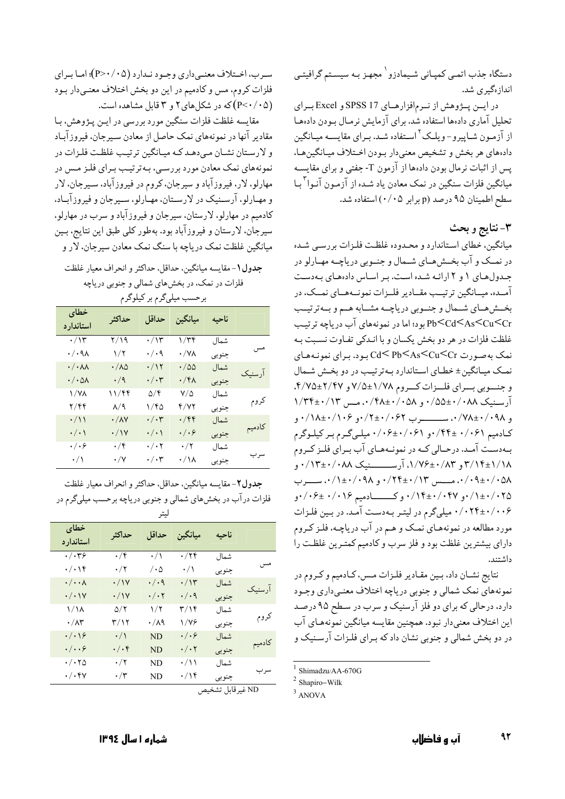## دستگاه جذب اتمبي كميـاني شـيمادزو` مجهـز بـه سيسـتم گرافيتـي انداز ،گیری شد.

در ايسن پووهش از نرم افزارهاي SPSS 17 و Excel براي تحلیل آماری دادهها استفاده شد. برای آزمایش نرمـال بـودن دادهمـا از آزمون شـاپیرو-ویلـک<sup>۲</sup>اسـتفاده شـد. بـرای مقایسـه میـانگین دادههاي هر بخش و تشخيص معنىدار بـودن اخـتلاف ميـانگينهـا، پس از اثبات نرمال بودن دادهها از آزمون T- جفتی و برای مقایسـه میانگین فلزات سنگین در نمک معادن یاد شـده از آزمـون آنـوا<sup>۳</sup>بـا سطح اطمینان ۹۵ درصد (p برابر ۰۵/۰) استفاده شد.

## ٣-نتايج و بحث

میانگین، خطای استاندارد و محدوده غلظت فلزات بررسی شده در نمــک و آب بخــش،هــای شــمال و جنــوبی دریاچــه مهــارلو در جـدولهای ۱ و ۲ ارائـه شـده است. بـر اسـاس دادههای بـهدسـت آمــده، میــانگین ترتیــب مقــادیر فلــزات نمونــههــای نمــک، در بخشرهای شمال و جنوبی دریاچـه مشـابه هـم و بـهترتیـب Pb<Cd<As<Cu<Cr بود؛ اما در نمونههای آب دریاچه ترتیب غلظت فلزات در هر دو بخش یکسان و با انـدکی تفـاوت نسـبت بـه نمک بهصورت Cd< Pb<As<Cu<Cr بود. برای نمونـههـای نمک میـانگین± خطـای اسـتاندارد بـهترتیـب در دو بخـش شـمال و جنسوبي بسراي فلسزات كسروم ١/٧٨±٧/٥ و ٢/٢٤كـ٢/٧٥. آرسنیک ۰/۵۵±۰/۰۵۸ و ۰/۴۸±۰/۰۵۸. مس ۱/۳۴±۰/۱۳ کادمیم ۰/۰۶۱ +۰/۴۴ و ۰/۰۶+۰/۰۶ میلی گرم بر کیلوگرم بهدست آمـد. درحـالي كـه در نمونـههـاي آب بـراي فلـز كـروم ۲/۱۴±۱/۱۸ و ۰/۱۴±۰/۰۸۳ آرســـــــنیک ۰/۱۳±۰/۰۸۸ و ٠/٠٩±٠/٠٥٨، مــــــس ٠/٢٢+٠/١٣، و ٠/١+٠/١٠، ســــرب ۰/۱۴۱/۰۲۵ و ۰/۱۴±۰/۰۴۷ وکــــــادميم ۰/۰۱۶ +۰/۰۶ و ۰/۰۲۴±۰/۰۰۶ میلیگرم در لیتـر بـهدسـت آمـد. در بـین فلـزات مورد مطالعه در نمونههـاي نمـک و هـم در آب درياچـه، فلـز کـروم دارای بیشترین غلظت بود و فلز سرب و کادمیم کمترین غلظت را داشتند.

نتايج نشـان داد، بـين مقـادير فلـزات مـس، كـادميم و كـروم در نمونههاي نمک شمالي و جنوبي درياچه اختلاف معنـي‹اري وجـود دارد، درحالی که برای دو فلز آرسنیک و سرب در سطح ۹۵ درصد اين اختلاف معنىدار نبود. همچنين مقايسه ميانگين نمونههـاي آب در دو بخش شمالی و جنوبی نشان داد که بـرای فلـزات آرسـنیک و

سـرب، اخــتلاف معنــي داري وجــود نــدارد (P>٠/٠۵)؛ امــا بــراي فلزات کروم، مس و کادمیم در این دو بخش اختلاف معنبیدار بود (P<٠/٠۵)که در شکلهای ۲ و ۳ قابل مشاهده است.

مقايسه غلظت فلزات سنگين مورد بررسي در ايـن پـژوهش، بـا مقادیر آنها در نمونههای نمک حاصل از معادن سـیرجان، فیروزآبـاد و لارستان نشـان مـى‹هـد كـه ميـانگين ترتيـب غلظـت فلـزات در نمونههای نمک معادن مورد بررسـي، بـهترتيـب بـراي فلـز مـس در مهارلو، لار، فيروزآباد و سيرجان، كروم در فيروزآباد، سـيرجان، لار و مهارلو، آرسنیک در لارستان، مهـارلو، سـیرجان و فیروزآبـاد، کادمیم در مهارلو، لارستان، سیرجان و فیروزآباد و سرب در مهارلو، سیرجان، لارستان و فیروزآباد بود. بهطور کلبی طبق این نتایج، بـین میانگین غلظت نمک دریاچه با سنگ نمک معادن سیرجان، لار و

جدول ( – مقايسه مبانگين، حداقل، حداكثر و انحراف معيار غلظت فلزات در نمک، در بخشهای شمالی و جنوبی دریاچه ن حسن ده با گردن کیلوگرد

| بر حسب چی تر ہے جو تر تر |       |                        |                       |                        |                              |  |
|--------------------------|-------|------------------------|-----------------------|------------------------|------------------------------|--|
|                          | ناحيه | ميانگين                | احداقل                | حداكثر                 | خطاى<br>استاندار د           |  |
|                          | شمال  | ۱/۳۴                   | $\cdot/\gamma$        | ۲/۱۹                   | $\cdot/\gamma$               |  |
| مس                       | جنوبي | $\cdot/\forall\lambda$ | $\cdot/\cdot$ ۹       | $\sqrt{7}$             | $\cdot/\cdot$ ۹۸             |  |
| آر سنىك                  | شمال  | $\cdot/\omega$         | $\cdot/\gamma$        | $\cdot/\lambda\varphi$ | $\cdot/\cdot$ $\wedge\wedge$ |  |
|                          | جنوبي | $\cdot$ /۴۸            | $\cdot/\cdot$ ۳       | $\cdot/9$              | $\cdot/\cdot$ ۵۸             |  |
|                          | شمال  | $V/\Delta$             | $\Delta/\mathfrak{F}$ | ۱۱/۴۴                  | 1/YA                         |  |
| كروم                     | جنوبي | ۴/۷۲                   | ۱/۴۵                  | $\lambda/\mathfrak{q}$ | ۲/۴۴                         |  |
|                          | شمال  | $\cdot$ /۴۴            | $\cdot/\cdot$ ۳       | $\cdot/\lambda\vee$    | $\cdot/\wedge$               |  |
| كادميم                   | جنوبي | $\cdot/\cdot$ ۶        | $\cdot/\cdot$         | $\cdot/\gamma$         | $\cdot/\cdot$                |  |
|                          | شمال  | $\cdot/\tau$           | $\cdot/\cdot$ ۲       | $\cdot/\mathfrak{f}$   | $\cdot/\cdot$ ۶              |  |
| سرب                      | جنوبي | $\cdot/\lambda$        | $\cdot/\cdot$ ۳       | $\cdot/\mathsf{Y}$     | $\cdot/\wedge$               |  |

جدول٢- مقايسه ميانگين، حداقل، حداكثر و انحراف معيار غلظت فلزات در آب در بخشهای شمالی و جنوبی دریاچه برحسب میلیگرم در

|         |       |                 | جبر                             |                      |                         |
|---------|-------|-----------------|---------------------------------|----------------------|-------------------------|
|         | ناحيه | ميانگين         | حداقل                           | حداكثر               | خطاى<br>استاندار د      |
|         | شمال  | $\cdot/$ ۲۴     | $\cdot/\wedge$                  | $\cdot/\mathfrak{r}$ | $\cdot/\cdot$ ۳۶        |
| مس      | جنوبي | $\cdot/\wedge$  | $\mathcal{L} \cdot \mathcal{L}$ | $\cdot/$ ۲           | $\cdot/\cdot$ \ f       |
|         | شمال  | $\cdot/\gamma$  | $\cdot/\cdot$ ۹                 | $\cdot/\gamma$       | $\cdot/\cdot\cdot$      |
| آر سنیک | جنوبي | $\cdot/\cdot$ 9 | $\cdot/\cdot$ ۲                 | $\cdot/\gamma$       | $\cdot/\cdot$ ) $\vee$  |
|         | شمال  | ۳/۱۴            | ۱/۲                             | ۵/۲                  | ۱/۱۸                    |
| كروم    | جنوبي | ۱/۷۶            | $\cdot/\lambda$ ۹               | ۳/۱۲                 | $\cdot/\wedge\breve{r}$ |
|         | شمال  | $\cdot/\cdot$ ۶ | ND                              | $\cdot/\wedge$       | $\cdot/\cdot$ \۶        |
| كادميم  | جنوبي | $\cdot/\cdot$ ٢ | ND.                             | $\cdot/\cdot$ ۴      | $\cdot/\cdot\cdot$ ۶    |
|         | شمال  | $\cdot/\vee$    | ND                              | $\cdot/\tau$         | $\cdot/\cdot$ ۲۵        |
| سرب     | جنوبي | ۰/۱۴            | ND                              | $\cdot/\tau$         | $\cdot/\cdot$ ۴۷        |

ND غيرقابل تشخيص

 $1$  Shimadzu/AA-670G

 $2$  Shapiro-Wilk

 $3$  ANOVA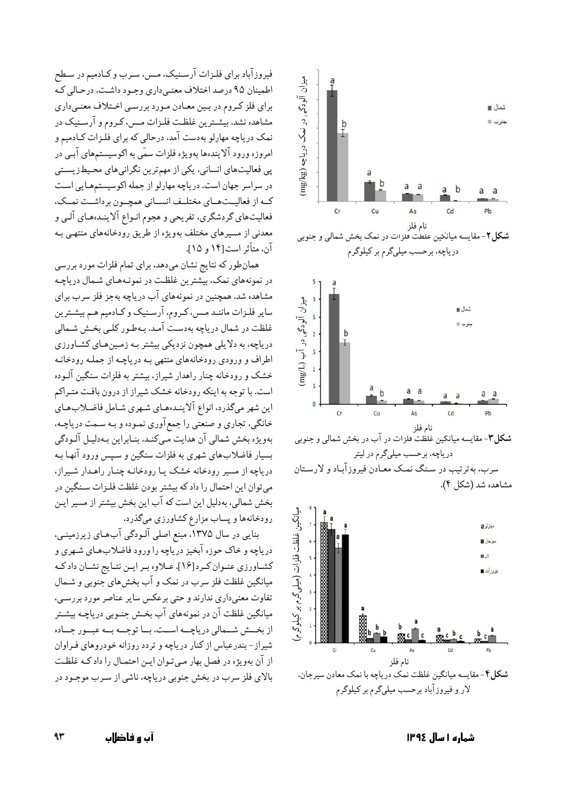

فیروزآباد برای فلـزات آرسـنیک، مـس، سـرب و کـادمیم در سـطح اطمینان ۹۵ درصد اختلاف معنبی داری وجـود داشـت. درحـالي کـه برای فلز کروم در بین معادن مورد بررسی اختلاف معنیداری مشاهده نشد. بیشترین غلظت فلزات مس، کروم و آرسنیک در نمک دریاچه مهارلو بهدست آمد، درحالی که برای فلـزات کـادمیم و امروزه ورود آلایندهها بهویژه فلزات سمّی به اکوسیستمهای آببی در پی فعالیتهای انسانی، یکی از مهمترین نگرانیهای محیطزیستی در سراسر جهان است. درياچه مهارلو از جمله اكوسيستمهايي است کـه از فعالیــتهــای مختلــف انســانی همچــون برداشــت نمــک، فعالیتهای گردشگری، تفریحی و هجوم انـواع آلاینـدههـای آلـی و معدنی از مسیرهای مختلف بهویژه از طریق رودخانههای منتهـی بـه آن، متأثر است[۱۴ و ۱۵].

همانطور که نتایج نشان میدهد، برای تمام فلزات مورد بررسی در نمونههای نمک، بیشترین غلظت در نمونـههـای شـمال دریاچـه مشاهده شد. همچنین در نمونههای آب دریاچه بهجز فلز سرب برای سایر فلزات ماننـد مـس، کـروم، آرسـنیک و کـادمیم هـم بیشـترین غلظت در شمال دریاچه بهدست آمد. بـهطـور کلـبي بخـش شـمالي دریاچه، به دلایلی همچون نزدیکی بیشتر بـه زمـینهـای کشـاورزی اطراف و ورودی رودخانههای منتهی بـه دریاچـه از جملـه رودخانـه خشک و رودخانه چنار راهدار شیراز، بیشتر به فلزات سنگین آلـوده است. با توجه به اینکه رودخانه خشک شیراز از درون بافت متـراکم این شهر میگذرد، انواع آلاینـدههای شـهری شـامل فاضـلابـهـای خانگی، تجاری و صنعتی را جمع آوری نمـوده و بـه سـمت دریاچـه، بهويژه بخش شمالي آن هدايت مـيكنـد. بنـابراين بـهدليـل آلـودگي بسيار فاضلاب هاي شهري به فلزات سنگين و سپس ورود آنهـا بـه دریاچه از مسیر رودخانه خشک یـا رودخانـه چنـار راهـدار شـیراز، می توان این احتمال را داد که بیشتر بودن غلظت فلـزات سـنگین در بخش شمالی، بهدلیل این است که آب این بخش بیشتر از مسیر ایـن رودخانهها و پساب مزارع کشاورزی میگذرد.

بنایی در سال ۱۳۷۵، مبنع اصلی آلـودگی آبِهـای زیرزمینـی، دریاچه و خاک حوزه آبخیز دریاچه را ورود فاضلابهای شهری و كشاورزي عنـوان كـرد[١۶]. عـلاوه بـر ايـن نتـايج نشـان دادكـه میانگین غلظت فلز سرب در نمک و آب بخشهای جنوبی و شـمال تفاوت معنی داری ندارند و حتی برعکس سایر عناصر مورد بررسی، میانگین غلظت آن در نمونههای آب بخـش جنـوبی دریاچـه بیشـتر از بخش شهالی دریاچـه اسـت. بــا توجــه بــه عبــور جــاده شیراز – بندرعباس از کنار دریاچه و تردد روزانه خودروهای فـراوان از آن بهویژه در فصل بهار مبی توان ایـن احتمـال را داد کـه غلظـت بالای فلز سرب در بخش جنوبی دریاچه، ناشی از سـرب موجـود در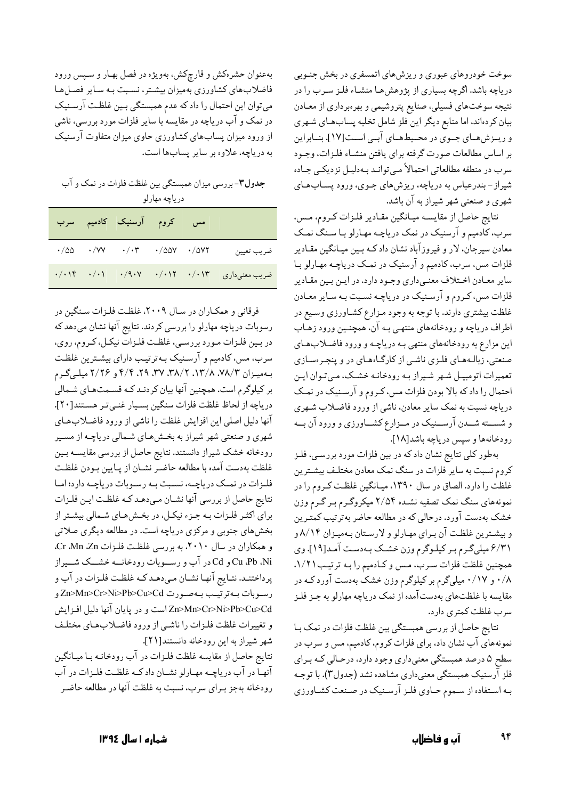سوخت خودروهای عبوری و ریزشهای اتمسفری در بخش جنـوبی دریاچه باشد. اگرچه بسیاری از پژوهشها منشـاء فلـز سـرب را در نتیجه سوختهای فسیلی، صنایع پتروشیمی و بهرهبرداری از معـادن بیان کردهاند. اما منابع دیگر این فلز شامل تخلیه پسابهای شـهری و ریـزش،هـای جـوی در محـیطهـای آبـی اسـت[۱۷]. بنــابراین بر اساس مطالعات صورت گرفته براي يافتن منشـاء فلـزات، وجـود سرب در منطقه مطالعاتي احتمالاً مي توانـد بـهدليـل نزديكـي جـاده شیراز-بندرعباس به دریاچه، ریزش های جـوی، ورود پسـابهـای شهری و صنعتبی شهر شیراز به آن باشد.

نتايج حاصل از مقايسـه ميـانگين مقـادير فلـزات كـروم، مـس، سرب، کادمیم و آرسنیک در نمک دریاچـه مهـارلو بـا سـنگ نمـک معادن سیرجان، لار و فیروزآباد نشان دادکه بـین میـانگین مقـادیر فلزات مس، سرب، کادمیم و آرسنیک در نمـک دریاچـه مهـارلو بـا سایر معـادن اخـتلاف معنـیداری وجـود دارد. در ایـن بـین مقـادیر فلزات مس، کـروم و آرسـنيک در درياچـه نسـبت بـه سـاير معـادن غلظت بیشتری دارند. با توجه به وجود مـزارع کشـاورزی وسـیع در اطراف دریاچه و رودخانههای منتهبی بـه آن، همچنـین ورود زهـاب این مزارع به رودخانههای منتهی بـه دریاچـه و ورود فاضـلابهـای صنعتی، زبالـههـای فلـزی ناشـی از کارگـاههـای در و پنجـرهسـازی تعمیرات اتومبیـل شـهر شـیراز بـه رودخانـه خشـک، مـىتـوان ايـن احتمال را داد که بالا بودن فلزات مس، کـروم و آرسـنيک در نمـک دریاچه نسبت به نمک سایر معادن، ناشی از ورود فاضـلاب شـهری و شســته شــدن آرســنيک در مــزارع کشــاورزي و ورود آن بــه رودخانهها و سپس درياچه باشد[١٨].

بهطور کلی نتایج نشان داد که در بین فلزات مورد بررسـی، فلـز کروم نسبت به سایر فلزات در سنگ نمک معادن مختلف بیشترین غلظت را دارد. الصاق در سال ۱۳۹۰، میـانگین غلظـت کـروم را در نمونههای سنگ نمک تصفیه نشـده ۲/۵۴ میکروگـرم بـر گـرم وزن خشک بهدست آورد. درحالی که در مطالعه حاضر بهترتیب کمتـرین و بیشترین غلظت آن برای مهارلو و لارستان بهمیزان ۸/۱۴ و ۶/۳۱ میلیگرم بر کیلوگرم وزن خشک بهدست آمد[۱۹]. وی همچنین غلظت فلزات سرب، مس و کادمیم را بـه ترتیـب١/٢١. ۰/۸ و ۰/۱۷ میلیگرم بر کیلوگرم وزن خشک بهدست آورد کـه در مقایسه با غلظتهای بهدستآمده از نمک دریاچه مهارلو به جـز فلـز سرب غلظت كمترى دارد.

نتايج حاصل از بررسي همبستگي بين غلظت فلزات در نمک بـا نمونههای آب نشان داد، برای فلزات کروم، کادمیم، مس و سرب در سطح ۵ درصد همبستگی معنیداری وجود دارد، درحـالی کـه بـرای فلز آرسنیک همبستگی معنیداری مشاهده نشد (جدول۳). با توجـه بـه اسـتفاده از سـموم حـاوي فلـز آرسـنيک در صـنعت کشـاورزي

بهعنوان حشرهکش و قارچکش، بهویژه در فصل بهار و سپس ورود فاضلاب های کشاورزی بهمیزان بیشتر، نسبت به سایر فصل ها میتوان این احتمال را داد که عدم همبستگی بین غلظت آرسـنیک در نمک و آب دریاچه در مقایسه با سایر فلزات مورد بررسی، ناشی از ورود میزان پسابهای کشاورزی حاوی میزان متفاوت آرسنیک به درياچه، علاوه بر ساير پسابها است.

جدول۳- بررسی میزان همبستگی بین غلظت فلزات در نمک و آب درياچه مهارلو

|                                               |  | مس کروم آرسنیک کادمیم سرب                                                                            |  |
|-----------------------------------------------|--|------------------------------------------------------------------------------------------------------|--|
| ضريب تعيين                                    |  | $\cdot/\Delta\Delta$ $\cdot/\forall Y$ $\cdot/\cdot$ $\cdot$ $\cdot/\Delta\Delta V$ $\cdot/\Delta V$ |  |
| ضریب معنیداری ۱۳ ۰/۰۱۲ ۰/۰۱۲ ۰/۰۱۲ ۰/۰۱۴ ۰/۰۱ |  |                                                                                                      |  |

فرقانی و همکـاران در سـال ۲۰۰۹، غلظـت فلـزات سـنگين در رسوبات دریاچه مهارلو را بررسی کردند. نتایج آنها نشان میدهد که در بـين فلـزات مـورد بررسـي، غلظـت فلـزاتٌ نيكـل، كـروم، روي، سرب، مس، کادمیم و آرسـنیک بـهترتیـب دارای بیشـترین غلظـت بـهمیـزان ۷۸/۳، ۱۳/۸، ۲۸/۲، ۳۷، ۳۷، ۴/۴ و ۲/۲۶ میلـهگـرم بر کیلوگرم است. همچنین آنها بیان کردنـد کـه قسـمتهـای شـمالی درياچه از لحاظ غلظت فلزات سنگين بسيار غنميتر هستند[٢٠]. آنها دلیل اصلی این افزایش غلظت را ناشی از ورود فاضلابهای شهری و صنعتی شهر شیراز به بخشهای شمالی دریاچه از مسیر رودخانه خشک شیراز دانستند. نتایج حاصل از بررسی مقایسـه بـین غلظت بهدست آمده با مطالعه حاضر نشـان از پـايين بـودن غلظـت فلزات در نمـک دریاچـه، نسـبت بـه رسـوبات دریاچـه دارد؛ امـا نتايج حاصل از بررسي آنها نشـان مـىدهـد كـه غلظـت ايـن فلـزات برای اکثـر فلـزات بـه جـزء نيكـل، در بخـشهـای شـمالی بيشـتر از بخشهای جنوبی و مرکزی دریاچه است. در مطالعه دیگری صلاتی و همکاران در سال ۲۰۱۰، به بررسی غلظت فلزات Cr .Mn .Zn. Cu ،Pb ،Ni و Cd در آب و رسـوبات رودخانــه خشــك شــيراز پرداختنـد. نتـايج آنهـا نشـان مـىدهـد كـه غلظـت فلـزات در آب و رسوبات به ترتيب به صورت Zn>Mn>Cr>Ni>Pb>Cu>Cd Zn>Mn>Cr>Ni>Pb>Cu>Cd است و در پایان آنها دلیل افـزایش و تغییرات غلظت فلزات را ناشبی از ورود فاضلابهای مختلف شهر شيراز به اين رودخانه دانستند[٢١]. نتايج حاصل از مقايسه غلظت فلـزات در آب رودخانـه بـا ميـانگين آنها در آب دریاچـه مهـارلو نشـان دادكـه غلظـت فلـزات در آب رودخانه بهجز بـراي سرب، نسبت به غلظت آنها در مطالعه حاضـر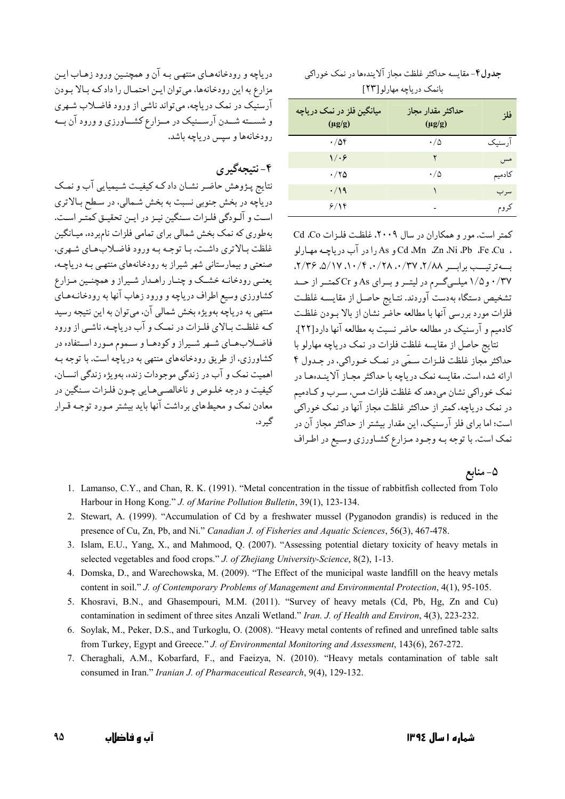#### جدول۴-مقایسه حداکثر غلظت مجاز آلایندهها در نمک خوراکی بانمک در باچه مهارلو [۲۳]

| میانگین فلز در نمک دریاچه<br>$(\mu g/g)$ | حداكثر مقدار مجاز<br>$(\mu g/g)$ | فلز      |
|------------------------------------------|----------------------------------|----------|
| $\cdot/\Delta f$                         | ۰/۵                              | اً، سنىك |
| 1/08                                     | ۲                                | مس       |
| ۰/۲۵                                     | ۰/۵                              | كادميم   |
| $\cdot$ /19                              |                                  | سر ب     |
| ۶/۱۴                                     |                                  | کروم     |

کمتر است. مور و همکاران در سال ۲۰۰۹، غلظت فلزات Cd .Co ، Cd .Mn .Zn .Ni .Pb .Fe .Cu و As را در آب درياچـه مهـارلو  $(1/\mathbf{Y} \mathcal{S} \setminus \mathbf{0} / \mathbf{V} \setminus \mathbf{0} / \mathbf{V} \mathbf{0} / \mathbf{V} \mathbf{0} + \mathbf{0} / \mathbf{V} \mathbf{0} \mathbf{0} + \mathbf{0} / \mathbf{V} \mathbf{0} \mathbf{0} + \mathbf{0} / \mathbf{0} \mathbf{0} + \mathbf{0} / \mathbf{0} \mathbf{0} + \mathbf{0} / \mathbf{0} \mathbf{0} + \mathbf{0} / \mathbf{0} \mathbf{0} + \mathbf{0} / \mathbf{0} \mathbf{0} + \$ ۰/۳۷ و ۱/۵ میلهیگرم در لیتمر و بمرای As و Cr کمتمر از حمد تشخيص دستگاه بهدست آوردند. نتـايج حاصـل از مقايسـه غلظـت فلزات مورد بررسی آنها با مطالعه حاضر نشان از بالا ببودن غلظت كادميم و آرسنيک در مطالعه حاضر نسبت به مطالعه آنها دارد[۲۲].

نتایج حاصل از مقایسه غلظت فلزات در نمک دریاچه مهارلو با حداکثر مجاز غلظت فلـزات سـمّى در نمـک خـوراکى، در جـدول ۴ ارائه شده است. مقایسه نمک دریاچه با حداکثر مجـاز آلاینـدهمـا در نمک خوراکی نشان می دهد که غلظت فلزات مس، سـرب و کـادمیم در نمک دریاچه، کمتر از حداکثر غلظت مجاز آنها در نمک خوراکی است؛ اما برای فلز آرسنیک، این مقدار بیشتر از حداکثر مجاز آن در نمک است. با توجه بـه وجـود مـزارع کشـاورزي وسـيع در اطـراف

دریاچه و رودخانههای منتهبی بـه آن و همچنـین ورود زهـاب ایـن مزارع به این رودخانهها، می توان ایـن احتمـال را داد کـه بـالا بـودن آرسنیک در نمک دریاچه، می تواند ناشی از ورود فاضـلاب شـهری و شســته شــدن آرســنيک در مــزارع کشــاورزي و ورود آن بــه رودخانهها و سپس دریاچه باشد.

# ۴- نتيجهگيري

نتایج پـژوهش حاضـر نشـان دادکـه کیفیـت شـیمیایی آب و نمـک دریاچه در بخش جنوبی نسبت به بخش شـمالی، در سـطح بـالاتری است و آلـودگی فلـزات سـنگین نیـز در ایـن تحقیـق کمتـر اسـت. بهطوری که نمک بخش شمالی برای تمامی فلزات نامبرده، میـانگین غلظت بالاتري داشت. با توجه به ورود فاضلاب هاي شهري، صنعتی و بیمارستانی شهر شیراز به رودخانههای منتهبی بـه دریاچـه، يعنـي رودخانـه خشـك و چنـار راهـدار شـيراز و همچنـين مـزارع کشاورزی وسیع اطراف دریاچه و ورود زهاب آنها به رودخانـههـای منتهي به درياچه بهويژه بخش شمالي آن، مي توان به اين نتيجه رسيد کـه غلظـت بـالای فلـزات در نمـک و آب در پاچـه، ناشـی از ورود فاضـلابهـای شـهر شـيراز وكودهـا و سـموم مـورد اسـتفاده در کشاورزی، از طریق رودخانههای منتهی به دریاچه است. با توجه بیه اهميت نمک و آب در زندگي موجودات زنده، بهويژه زندگي انسـان، کیفیت و درجه خلـوص و ناخالصـی هـایی چـون فلـزات سـنگین در معادن نمک و محیطهای برداشت آنها باید بیشتر مـورد توجـه قـرار گ د.

## ۵- منابع

- 1. Lamanso, C.Y., and Chan, R. K. (1991). "Metal concentration in the tissue of rabbitfish collected from Tolo Harbour in Hong Kong." J. of Marine Pollution Bulletin, 39(1), 123-134.
- 2. Stewart, A. (1999). "Accumulation of Cd by a freshwater mussel (Pyganodon grandis) is reduced in the presence of Cu, Zn, Pb, and Ni." Canadian J. of Fisheries and Aquatic Sciences, 56(3), 467-478.
- 3. Islam, E.U., Yang, X., and Mahmood, Q. (2007). "Assessing potential dietary toxicity of heavy metals in selected vegetables and food crops." J. of Zhejiang University-Science, 8(2), 1-13.
- 4. Domska, D., and Warechowska, M. (2009). "The Effect of the municipal waste landfill on the heavy metals content in soil." J. of Contemporary Problems of Management and Environmental Protection, 4(1), 95-105.
- 5. Khosravi, B.N., and Ghasempouri, M.M. (2011). "Survey of heavy metals (Cd, Pb, Hg, Zn and Cu) contamination in sediment of three sites Anzali Wetland." Iran. J. of Health and Environ, 4(3), 223-232.
- 6. Soylak, M., Peker, D.S., and Turkoglu, O. (2008). "Heavy metal contents of refined and unrefined table salts from Turkey, Egypt and Greece." J. of Environmental Monitoring and Assessment, 143(6), 267-272.
- 7. Cheraghali, A.M., Kobarfard, F., and Faeizya, N. (2010). "Heavy metals contamination of table salt consumed in Iran." Iranian J. of Pharmaceutical Research, 9(4), 129-132.